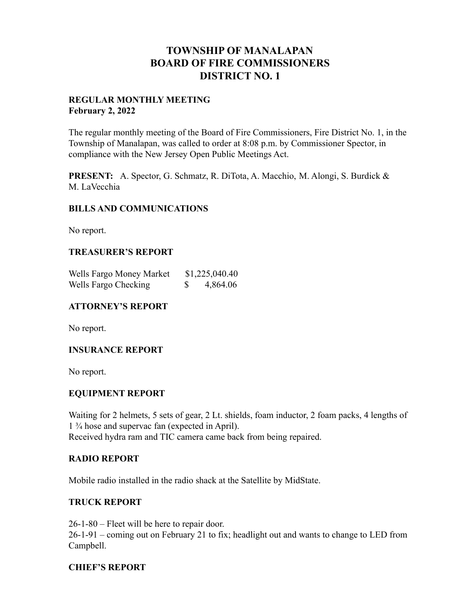## **TOWNSHIP OF MANALAPAN BOARD OF FIRE COMMISSIONERS DISTRICT NO. 1**

#### **REGULAR MONTHLY MEETING February 2, 2022**

The regular monthly meeting of the Board of Fire Commissioners, Fire District No. 1, in the Township of Manalapan, was called to order at 8:08 p.m. by Commissioner Spector, in compliance with the New Jersey Open Public Meetings Act.

**PRESENT:** A. Spector, G. Schmatz, R. DiTota, A. Macchio, M. Alongi, S. Burdick & M. LaVecchia

#### **BILLS AND COMMUNICATIONS**

No report.

## **TREASURER'S REPORT**

| Wells Fargo Money Market | \$1,225,040.40 |
|--------------------------|----------------|
| Wells Fargo Checking     | 4,864.06       |

#### **ATTORNEY'S REPORT**

No report.

#### **INSURANCE REPORT**

No report.

#### **EQUIPMENT REPORT**

Waiting for 2 helmets, 5 sets of gear, 2 Lt. shields, foam inductor, 2 foam packs, 4 lengths of 1 ¾ hose and supervac fan (expected in April). Received hydra ram and TIC camera came back from being repaired.

#### **RADIO REPORT**

Mobile radio installed in the radio shack at the Satellite by MidState.

#### **TRUCK REPORT**

26-1-80 – Fleet will be here to repair door.

26-1-91 – coming out on February 21 to fix; headlight out and wants to change to LED from Campbell.

#### **CHIEF'S REPORT**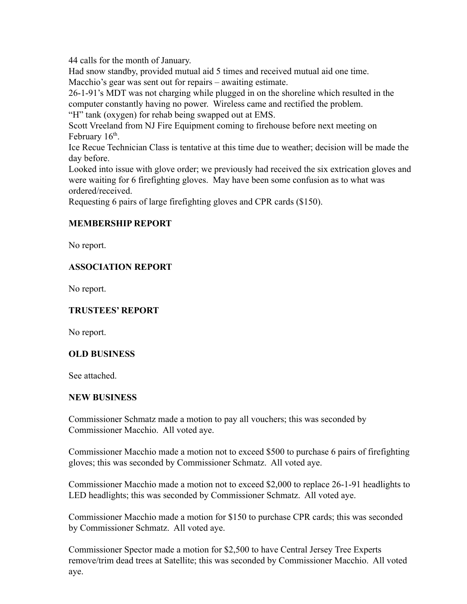44 calls for the month of January.

Had snow standby, provided mutual aid 5 times and received mutual aid one time. Macchio's gear was sent out for repairs – awaiting estimate.

26-1-91's MDT was not charging while plugged in on the shoreline which resulted in the computer constantly having no power. Wireless came and rectified the problem.

"H" tank (oxygen) for rehab being swapped out at EMS.

Scott Vreeland from NJ Fire Equipment coming to firehouse before next meeting on February 16<sup>th</sup>.

Ice Recue Technician Class is tentative at this time due to weather; decision will be made the day before.

Looked into issue with glove order; we previously had received the six extrication gloves and were waiting for 6 firefighting gloves. May have been some confusion as to what was ordered/received.

Requesting 6 pairs of large firefighting gloves and CPR cards (\$150).

## **MEMBERSHIP REPORT**

No report.

## **ASSOCIATION REPORT**

No report.

## **TRUSTEES' REPORT**

No report.

## **OLD BUSINESS**

See attached.

#### **NEW BUSINESS**

Commissioner Schmatz made a motion to pay all vouchers; this was seconded by Commissioner Macchio. All voted aye.

Commissioner Macchio made a motion not to exceed \$500 to purchase 6 pairs of firefighting gloves; this was seconded by Commissioner Schmatz. All voted aye.

Commissioner Macchio made a motion not to exceed \$2,000 to replace 26-1-91 headlights to LED headlights; this was seconded by Commissioner Schmatz. All voted aye.

Commissioner Macchio made a motion for \$150 to purchase CPR cards; this was seconded by Commissioner Schmatz. All voted aye.

Commissioner Spector made a motion for \$2,500 to have Central Jersey Tree Experts remove/trim dead trees at Satellite; this was seconded by Commissioner Macchio. All voted aye.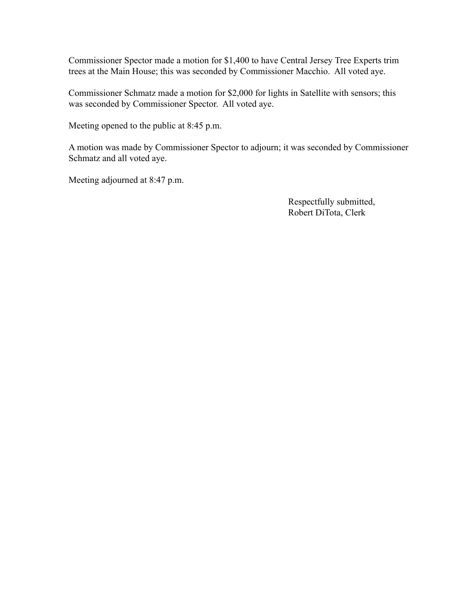Commissioner Spector made a motion for \$1,400 to have Central Jersey Tree Experts trim trees at the Main House; this was seconded by Commissioner Macchio. All voted aye.

Commissioner Schmatz made a motion for \$2,000 for lights in Satellite with sensors; this was seconded by Commissioner Spector. All voted aye.

Meeting opened to the public at 8:45 p.m.

A motion was made by Commissioner Spector to adjourn; it was seconded by Commissioner Schmatz and all voted aye.

Meeting adjourned at 8:47 p.m.

Respectfully submitted, Robert DiTota, Clerk